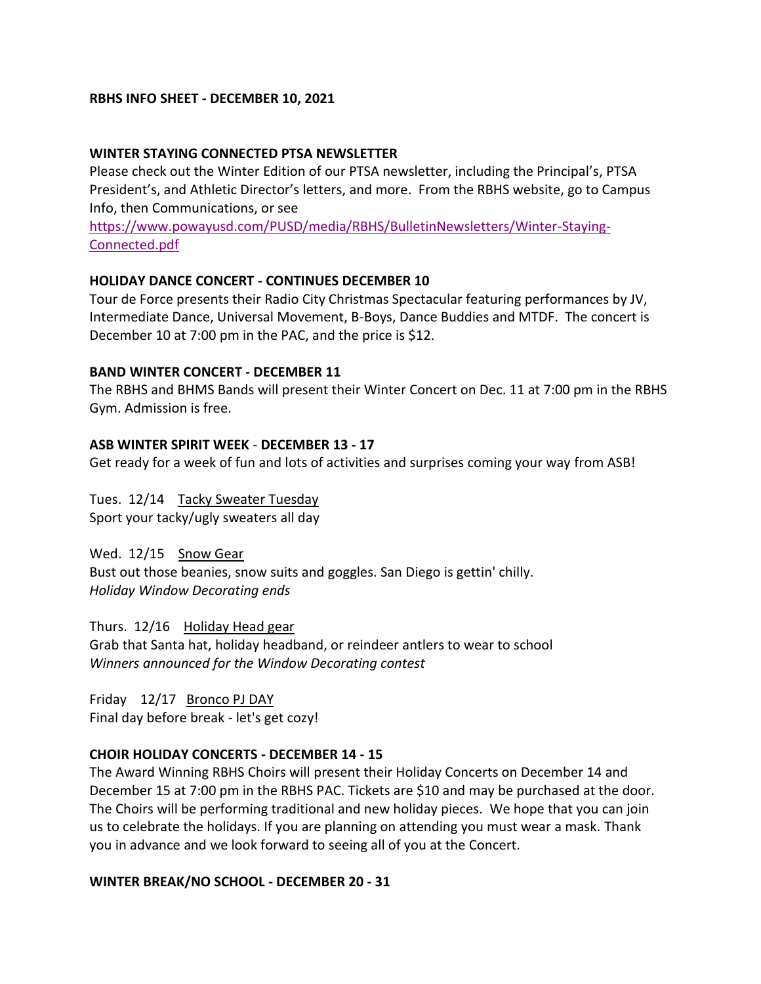### **RBHS INFO SHEET - DECEMBER 10, 2021**

### **WINTER STAYING CONNECTED PTSA NEWSLETTER**

Please check out the Winter Edition of our PTSA newsletter, including the Principal's, PTSA President's, and Athletic Director's letters, and more. From the RBHS website, go to Campus Info, then Communications, or see

[https://www.powayusd.com/PUSD/media/RBHS/BulletinNewsletters/Winter-Staying-](https://www.powayusd.com/PUSD/media/RBHS/BulletinNewsletters/Winter-Staying-Connected.pdf)[Connected.pdf](https://www.powayusd.com/PUSD/media/RBHS/BulletinNewsletters/Winter-Staying-Connected.pdf)

### **HOLIDAY DANCE CONCERT - CONTINUES DECEMBER 10**

Tour de Force presents their Radio City Christmas Spectacular featuring performances by JV, Intermediate Dance, Universal Movement, B-Boys, Dance Buddies and MTDF. The concert is December 10 at 7:00 pm in the PAC, and the price is \$12.

### **BAND WINTER CONCERT - DECEMBER 11**

The RBHS and BHMS Bands will present their Winter Concert on Dec. 11 at 7:00 pm in the RBHS Gym. Admission is free.

### **ASB WINTER SPIRIT WEEK** - **DECEMBER 13 - 17**

Get ready for a week of fun and lots of activities and surprises coming your way from ASB!

Tues. 12/14 Tacky Sweater Tuesday Sport your tacky/ugly sweaters all day

Wed. 12/15 Snow Gear Bust out those beanies, snow suits and goggles. San Diego is gettin' chilly. *Holiday Window Decorating ends*

Thurs. 12/16 Holiday Head gear Grab that Santa hat, holiday headband, or reindeer antlers to wear to school *Winners announced for the Window Decorating contest*

Friday 12/17 Bronco PJ DAY Final day before break - let's get cozy!

### **CHOIR HOLIDAY CONCERTS - DECEMBER 14 - 15**

The Award Winning RBHS Choirs will present their Holiday Concerts on December 14 and December 15 at 7:00 pm in the RBHS PAC. Tickets are \$10 and may be purchased at the door. The Choirs will be performing traditional and new holiday pieces. We hope that you can join us to celebrate the holidays. If you are planning on attending you must wear a mask. Thank you in advance and we look forward to seeing all of you at the Concert.

#### **WINTER BREAK/NO SCHOOL - DECEMBER 20 - 31**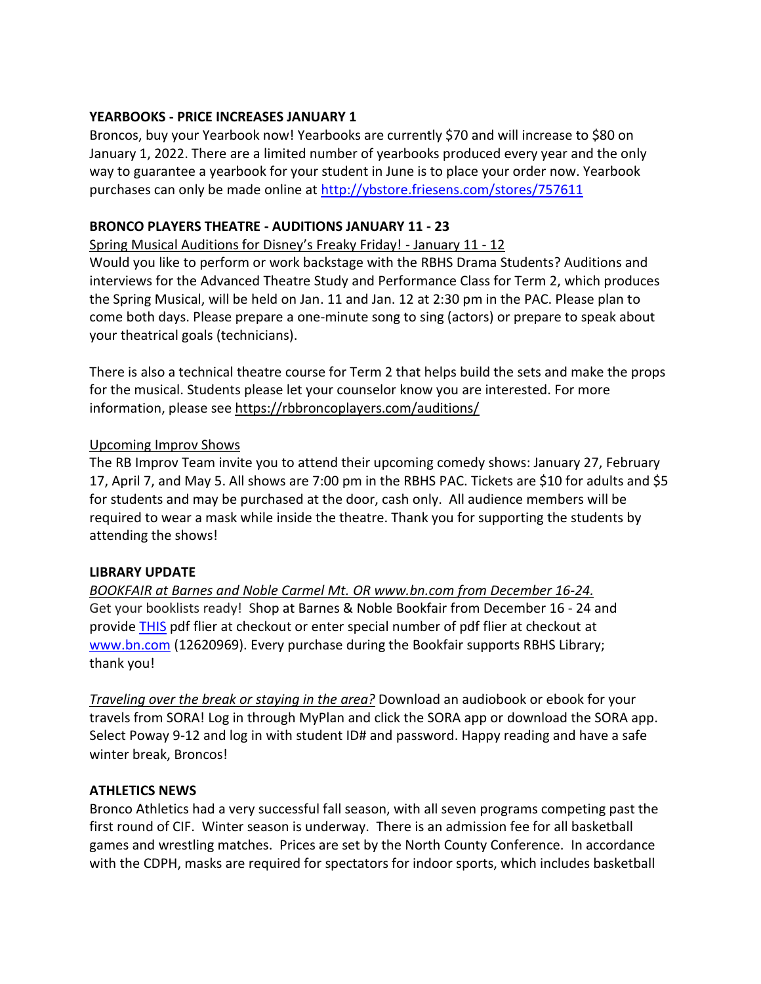### **YEARBOOKS - PRICE INCREASES JANUARY 1**

Broncos, buy your Yearbook now! Yearbooks are currently \$70 and will increase to \$80 on January 1, 2022. There are a limited number of yearbooks produced every year and the only way to guarantee a yearbook for your student in June is to place your order now. Yearbook purchases can only be made online at <http://ybstore.friesens.com/stores/757611>

## **BRONCO PLAYERS THEATRE - AUDITIONS JANUARY 11 - 23**

Spring Musical Auditions for Disney's Freaky Friday! - January 11 - 12

Would you like to perform or work backstage with the RBHS Drama Students? Auditions and interviews for the Advanced Theatre Study and Performance Class for Term 2, which produces the Spring Musical, will be held on Jan. 11 and Jan. 12 at 2:30 pm in the PAC. Please plan to come both days. Please prepare a one-minute song to sing (actors) or prepare to speak about your theatrical goals (technicians).

There is also a technical theatre course for Term 2 that helps build the sets and make the props for the musical. Students please let your counselor know you are interested. For more information, please see <https://rbbroncoplayers.com/auditions/>

## Upcoming Improv Shows

The RB Improv Team invite you to attend their upcoming comedy shows: January 27, February 17, April 7, and May 5. All shows are 7:00 pm in the RBHS PAC. Tickets are \$10 for adults and \$5 for students and may be purchased at the door, cash only. All audience members will be required to wear a mask while inside the theatre. Thank you for supporting the students by attending the shows!

### **LIBRARY UPDATE**

*BOOKFAIR at Barnes and Noble Carmel Mt. OR [www.bn.com](http://www.bn.com/) from December 16-24.* Get your booklists ready! Shop at Barnes & Noble Bookfair from December 16 - 24 and provide [THIS](https://drive.google.com/file/d/1bttCGxa6SD-NbaBCibaCeSDhsxknOcAr/view?usp=sharing) pdf flier at checkout or enter special number of pdf flier at checkout at [www.bn.com](http://www.bn.com/) (12620969). Every purchase during the Bookfair supports RBHS Library; thank you!

*Traveling over the break or staying in the area?* Download an audiobook or ebook for your travels from SORA! Log in through MyPlan and click the SORA app or download the SORA app. Select Poway 9-12 and log in with student ID# and password. Happy reading and have a safe winter break, Broncos!

### **ATHLETICS NEWS**

Bronco Athletics had a very successful fall season, with all seven programs competing past the first round of CIF. Winter season is underway. There is an admission fee for all basketball games and wrestling matches. Prices are set by the North County Conference. In accordance with the CDPH, masks are required for spectators for indoor sports, which includes basketball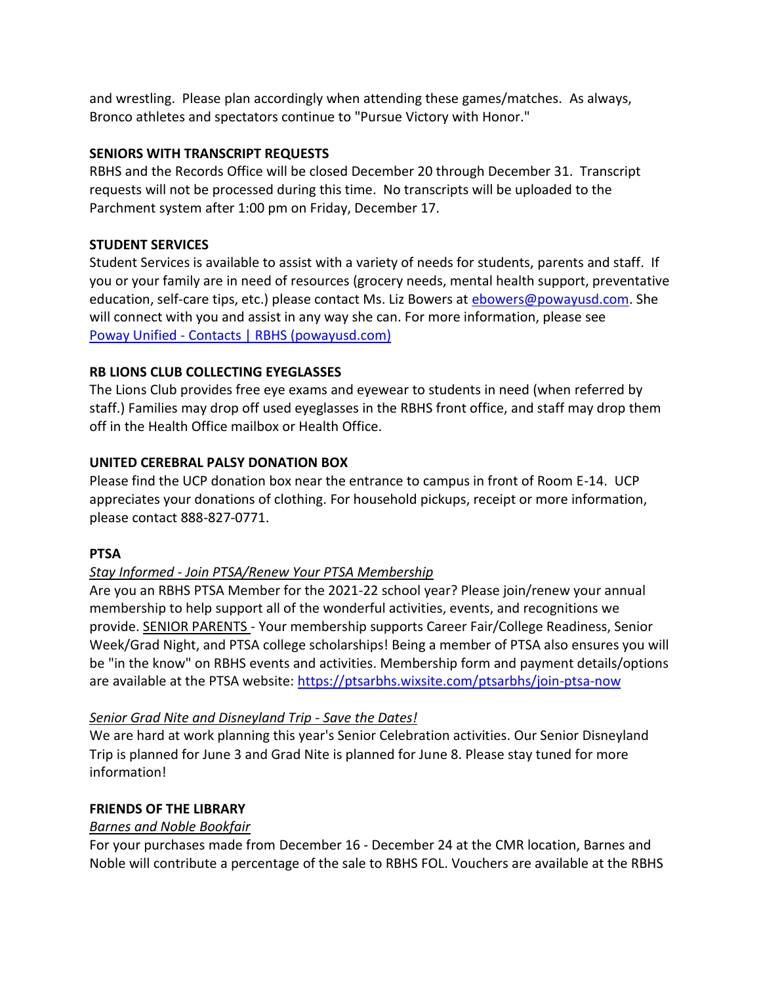and wrestling. Please plan accordingly when attending these games/matches. As always, Bronco athletes and spectators continue to "Pursue Victory with Honor."

## **SENIORS WITH TRANSCRIPT REQUESTS**

RBHS and the Records Office will be closed December 20 through December 31. Transcript requests will not be processed during this time. No transcripts will be uploaded to the Parchment system after 1:00 pm on Friday, December 17.

# **STUDENT SERVICES**

Student Services is available to assist with a variety of needs for students, parents and staff. If you or your family are in need of resources (grocery needs, mental health support, preventative education, self-care tips, etc.) please contact Ms. Liz Bowers at [ebowers@powayusd.com.](mailto:ebowers@powayusd.com) She will connect with you and assist in any way she can. For more information, please see Poway Unified - [Contacts | RBHS \(powayusd.com\)](https://www.powayusd.com/en-US/Schools/HS/RBHS/CONTACTS/Student-Services)

# **RB LIONS CLUB COLLECTING EYEGLASSES**

The Lions Club provides free eye exams and eyewear to students in need (when referred by staff.) Families may drop off used eyeglasses in the RBHS front office, and staff may drop them off in the Health Office mailbox or Health Office.

# **UNITED CEREBRAL PALSY DONATION BOX**

Please find the UCP donation box near the entrance to campus in front of Room E-14. UCP appreciates your donations of clothing. For household pickups, receipt or more information, please contact 888-827-0771.

## **PTSA**

# *Stay Informed - Join PTSA/Renew Your PTSA Membership*

Are you an RBHS PTSA Member for the 2021-22 school year? Please join/renew your annual membership to help support all of the wonderful activities, events, and recognitions we provide. SENIOR PARENTS - Your membership supports Career Fair/College Readiness, Senior Week/Grad Night, and PTSA college scholarships! Being a member of PTSA also ensures you will be "in the know" on RBHS events and activities. Membership form and payment details/options are available at the PTSA website: [https://ptsarbhs.wixsite.com/ptsarbhs/join-ptsa-now](https://linkprotect.cudasvc.com/url?a=https%3a%2f%2fptsarbhs.wixsite.com%2fptsarbhs%2fjoin-ptsa-now&c=E,1,RMbG1ZNDKOwxdeu8FXUorhWp3QRnJXuZvxT5AIf6oZUQXZx92BvasJPrHrUsnpTZWnC0ng8ajMYfnWE_gwVcW2Rn3oFC9zHOV4bDO54cogBnwLg,&typo=0)

# *Senior Grad Nite and Disneyland Trip - Save the Dates!*

We are hard at work planning this year's Senior Celebration activities. Our Senior Disneyland Trip is planned for June 3 and Grad Nite is planned for June 8. Please stay tuned for more information!

## **FRIENDS OF THE LIBRARY**

# *Barnes and Noble Bookfair*

For your purchases made from December 16 - December 24 at the CMR location, Barnes and Noble will contribute a percentage of the sale to RBHS FOL. Vouchers are available at the RBHS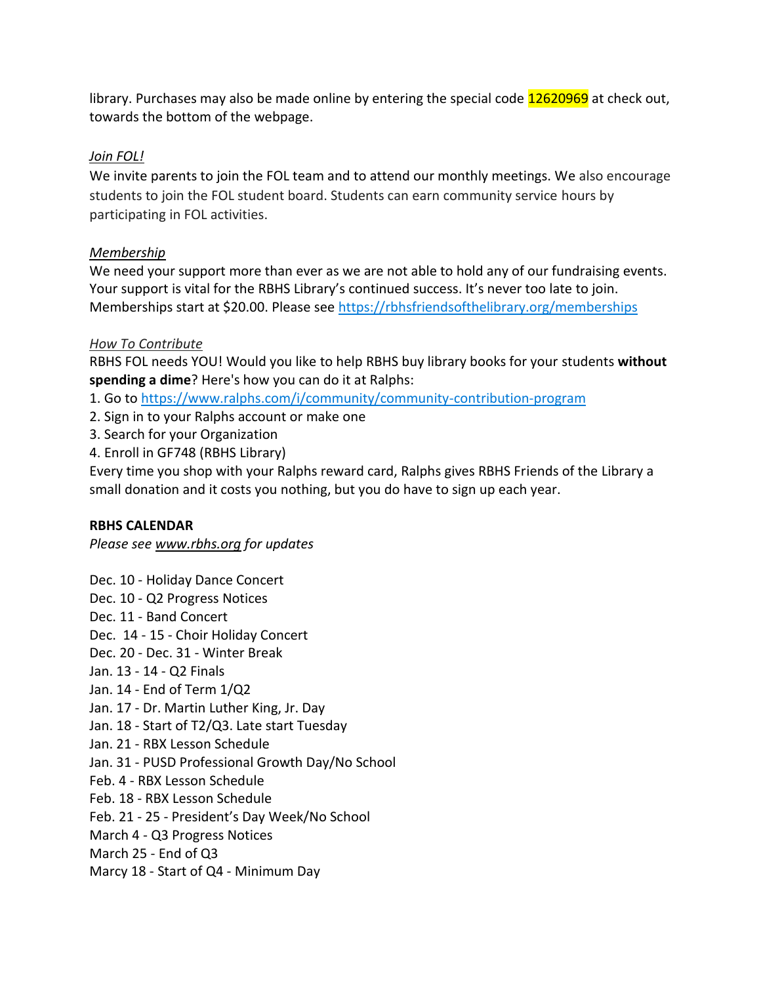library. Purchases may also be made online by entering the special code 12620969 at check out, towards the bottom of the webpage.

# *Join FOL!*

We invite parents to join the FOL team and to attend our monthly meetings. We also encourage students to join the FOL student board. Students can earn community service hours by participating in FOL activities.

## *Membership*

We need your support more than ever as we are not able to hold any of our fundraising events. Your support is vital for the RBHS Library's continued success. It's never too late to join. Memberships start at \$20.00. Please see [https://rbhsfriendsofthelibrary.org/memberships](https://linkprotect.cudasvc.com/url?a=https%3a%2f%2frbhsfriendsofthelibrary.org%2fmembership&c=E,1,ACkmCTTYAIvZTNxVTJ-ShWz-o5tYxio0HfgE3iJKwecS5oraxLZuhlcFjwzObd3P32T6Ua26kNb2Q6_IbMhD4l9oRY9N16mR3HWGxIfFal5s8-WG4rM,&typo=0)

# *How To Contribute*

RBHS FOL needs YOU! Would you like to help RBHS buy library books for your students **without spending a dime**? Here's how you can do it at Ralphs:

- 1. Go to [https://www.ralphs.com/i/community/community-contribution-program](https://linkprotect.cudasvc.com/url?a=https%3a%2f%2fwww.ralphs.com%2fi%2fcommunity%2fcommunity-contribution-program&c=E,1,a2ab3-xEIEHdC--gGRQqkbhzXBUmcfaChDr94HUxNCvJfdDWk4UGmtmTse6OaA48wPbEbu7s0jlqLh7CdlaXYCLXrWChpLbMRx0ifhTYwA,,&typo=0)
- 2. Sign in to your Ralphs account or make one
- 3. Search for your Organization
- 4. Enroll in GF748 (RBHS Library)

Every time you shop with your Ralphs reward card, Ralphs gives RBHS Friends of the Library a small donation and it costs you nothing, but you do have to sign up each year.

## **RBHS CALENDAR**

*Please see [www.rbhs.org](http://www.rbhs.org/) for updates*

- Dec. 10 Holiday Dance Concert
- Dec. 10 Q2 Progress Notices
- Dec. 11 Band Concert
- Dec. 14 15 Choir Holiday Concert
- Dec. 20 Dec. 31 Winter Break
- Jan. 13 14 Q2 Finals
- Jan. 14 End of Term 1/Q2
- Jan. 17 Dr. Martin Luther King, Jr. Day
- Jan. 18 Start of T2/Q3. Late start Tuesday
- Jan. 21 RBX Lesson Schedule
- Jan. 31 PUSD Professional Growth Day/No School
- Feb. 4 RBX Lesson Schedule
- Feb. 18 RBX Lesson Schedule
- Feb. 21 25 President's Day Week/No School
- March 4 Q3 Progress Notices
- March 25 End of Q3
- Marcy 18 Start of Q4 Minimum Day